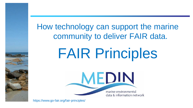How technology can support the marine community to deliver FAIR data.

# FAIR Principles

MEDIN marine environmental data & information network

https://www.go-fair.org/fair-principles/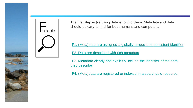



The first step in (re)using data is to find them. Metadata and data should be easy to find for both humans and computers.

[•F1. \(Meta\)data are assigned a globally unique and persistent identifier](https://www.go-fair.org/fair-principles/fair-data-principles-explained/f1-meta-data-assigned-globally-unique-persistent-identifiers/)

[•F2. Data are described with rich metadata](https://www.go-fair.org/fair-principles/fair-data-principles-explained/f2-data-described-rich-metadata/) 

[•F3. Metadata clearly and explicitly include the identifier of the data](https://www.go-fair.org/fair-principles/f3-metadata-clearly-explicitly-include-identifier-data-describe/)  they describe

[•F4. \(Meta\)data are registered or indexed in a searchable resource](https://www.go-fair.org/fair-principles/f4-metadata-registered-indexed-searchable-resource/)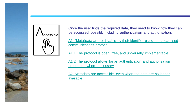

Once the user finds the required data, they need to know how they can be accessed, possibly including authentication and authorisation.

[A1. \(Meta\)data are retrievable by their identifier using a standardised](https://www.go-fair.org/fair-principles/542-2/)  communications protocol

A1.1 [The protocol is open, free, and universally implementable](https://www.go-fair.org/fair-principles/a1-1-protocol-open-free-universally-implementable/)

A1.2 [The protocol allows for an authentication and authorisation](https://www.go-fair.org/fair-principles/a1-2-protocol-allows-authentication-authorisation-required/)  procedure, where necessary

[A2. Metadata are accessible, even when the data are no longer](https://www.go-fair.org/fair-principles/a2-metadata-accessible-even-data-no-longer-available/)  available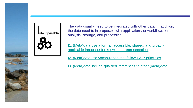

The data usually need to be integrated with other data. In addition, the data need to interoperate with applications or workflows for analysis, storage, and processing.

[I1. \(Meta\)data use a formal, accessible, shared, and broadly](https://www.go-fair.org/fair-principles/i1-metadata-use-formal-accessible-shared-broadly-applicable-language-knowledge-representation/)  applicable language for knowledge representation.

[I2. \(Meta\)data use vocabularies that follow FAIR principles](https://www.go-fair.org/fair-principles/i2-metadata-use-vocabularies-follow-fair-principles/)

[I3. \(Meta\)data include qualified references to other \(meta\)data](https://www.go-fair.org/fair-principles/i3-metadata-include-qualified-references-metadata/)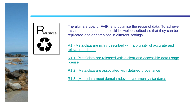

The ultimate goal of FAIR is to optimise the reuse of data. To achieve this, metadata and data should be well-described so that they can be replicated and/or combined in different settings.

[R1. \(Meta\)data are richly described with a plurality of accurate and](https://www.go-fair.org/fair-principles/r1-metadata-richly-described-plurality-accurate-relevant-attributes/)  relevant attributes

[R1.1. \(Meta\)data are released with a clear and accessible data usage](https://www.go-fair.org/fair-principles/r1-1-metadata-released-clear-accessible-data-usage-license/)  **license** 

[R1.2. \(Meta\)data are associated with detailed provenance](https://www.go-fair.org/fair-principles/r1-2-metadata-associated-detailed-provenance/)

[R1.3. \(Meta\)data meet domain-relevant community standards](https://www.go-fair.org/fair-principles/r1-3-metadata-meet-domain-relevant-community-standards/)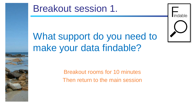### Breakout session 1.

## What support do you need to make your data findable?

Indable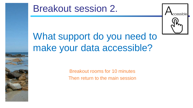### Breakout session 2.



## What support do you need to make your data accessible?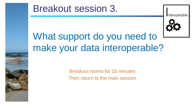#### Breakout session 3.



Interoperable

## What support do you need to make your data interoperable?